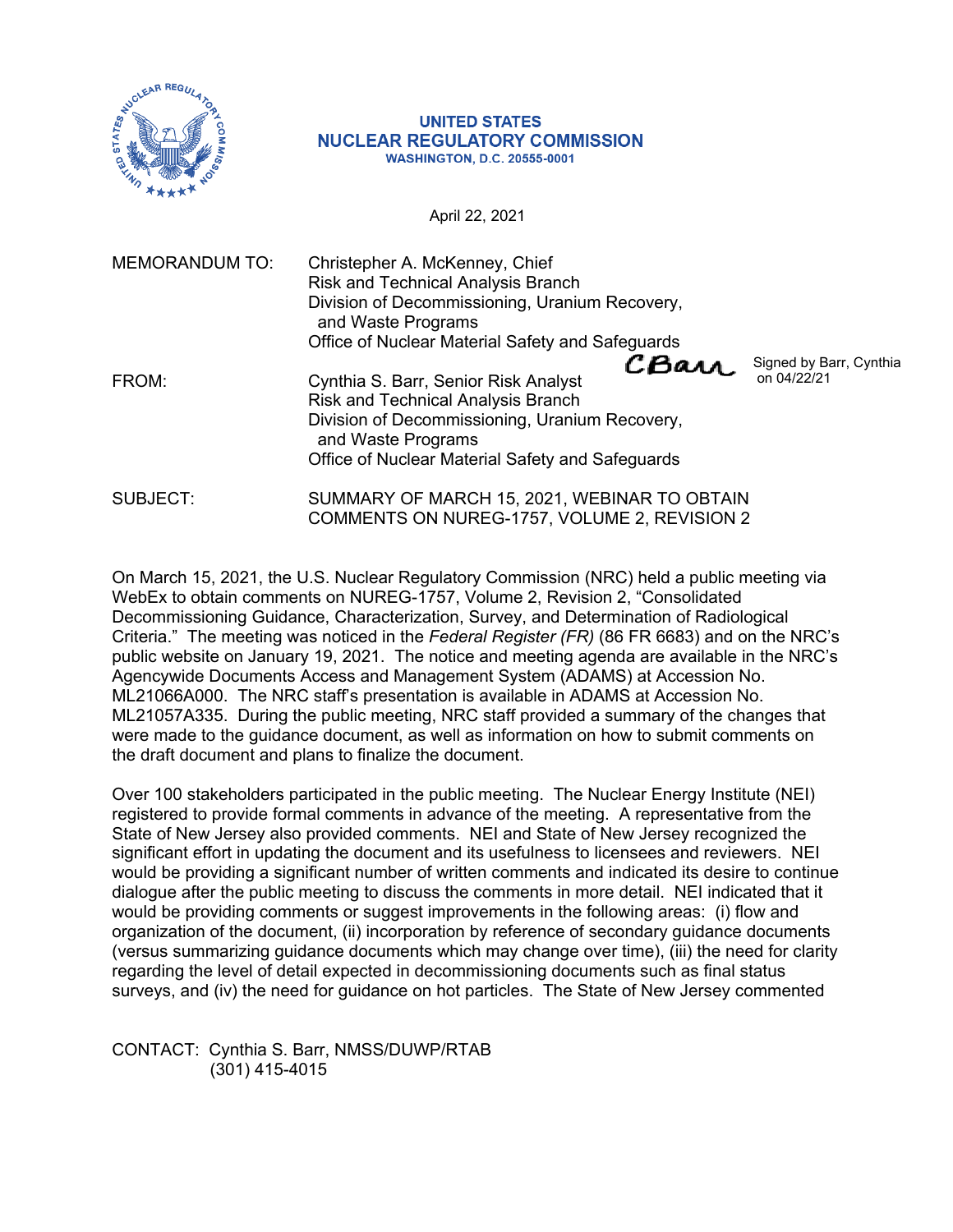

## **UNITED STATES NUCLEAR REGULATORY COMMISSION WASHINGTON, D.C. 20555-0001**

April 22, 2021

| <b>MEMORANDUM TO:</b> | Christepher A. McKenney, Chief<br><b>Risk and Technical Analysis Branch</b><br>Division of Decommissioning, Uranium Recovery,<br>and Waste Programs                                                                                                               |
|-----------------------|-------------------------------------------------------------------------------------------------------------------------------------------------------------------------------------------------------------------------------------------------------------------|
|                       | Office of Nuclear Material Safety and Safeguards                                                                                                                                                                                                                  |
| FROM:                 | CBarr.<br>Signed by Barr, Cynthia<br>on 04/22/21<br>Cynthia S. Barr, Senior Risk Analyst<br><b>Risk and Technical Analysis Branch</b><br>Division of Decommissioning, Uranium Recovery,<br>and Waste Programs<br>Office of Nuclear Material Safety and Safeguards |
| SUBJECT:              | SUMMARY OF MARCH 15, 2021, WEBINAR TO OBTAIN<br>COMMENTS ON NUREG-1757, VOLUME 2, REVISION 2                                                                                                                                                                      |

On March 15, 2021, the U.S. Nuclear Regulatory Commission (NRC) held a public meeting via WebEx to obtain comments on NUREG-1757, Volume 2, Revision 2, "Consolidated Decommissioning Guidance, Characterization, Survey, and Determination of Radiological Criteria." The meeting was noticed in the *Federal Register (FR)* (86 FR 6683) and on the NRC's public website on January 19, 2021. The notice and meeting agenda are available in the NRC's Agencywide Documents Access and Management System (ADAMS) at Accession No. ML21066A000. The NRC staff's presentation is available in ADAMS at Accession No. ML21057A335. During the public meeting, NRC staff provided a summary of the changes that were made to the guidance document, as well as information on how to submit comments on the draft document and plans to finalize the document.

Over 100 stakeholders participated in the public meeting. The Nuclear Energy Institute (NEI) registered to provide formal comments in advance of the meeting. A representative from the State of New Jersey also provided comments. NEI and State of New Jersey recognized the significant effort in updating the document and its usefulness to licensees and reviewers. NEI would be providing a significant number of written comments and indicated its desire to continue dialogue after the public meeting to discuss the comments in more detail. NEI indicated that it would be providing comments or suggest improvements in the following areas: (i) flow and organization of the document, (ii) incorporation by reference of secondary guidance documents (versus summarizing guidance documents which may change over time), (iii) the need for clarity regarding the level of detail expected in decommissioning documents such as final status surveys, and (iv) the need for guidance on hot particles. The State of New Jersey commented

CONTACT: Cynthia S. Barr, NMSS/DUWP/RTAB (301) 415-4015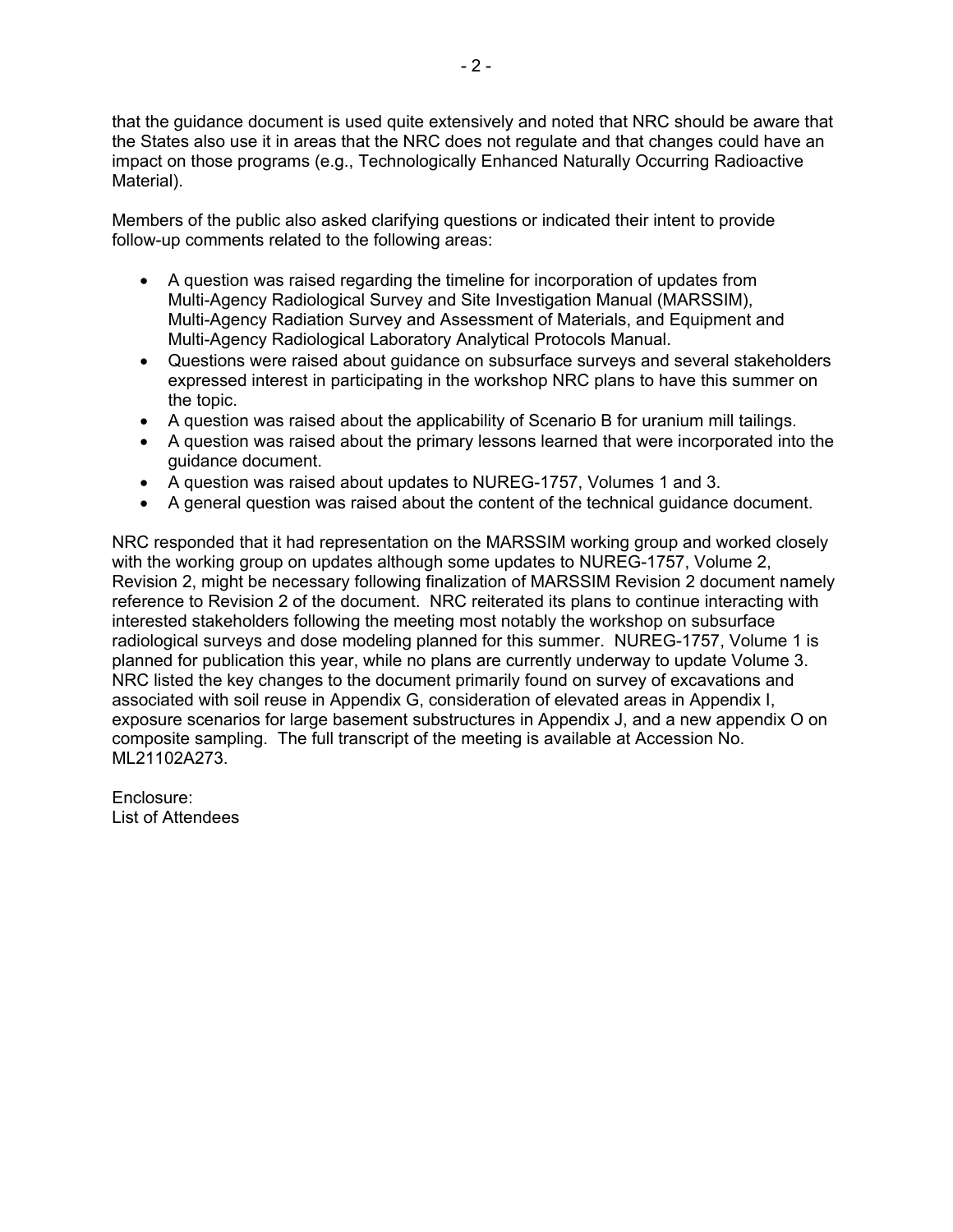that the guidance document is used quite extensively and noted that NRC should be aware that the States also use it in areas that the NRC does not regulate and that changes could have an impact on those programs (e.g., Technologically Enhanced Naturally Occurring Radioactive Material).

Members of the public also asked clarifying questions or indicated their intent to provide follow-up comments related to the following areas:

- A question was raised regarding the timeline for incorporation of updates from Multi-Agency Radiological Survey and Site Investigation Manual (MARSSIM), Multi-Agency Radiation Survey and Assessment of Materials, and Equipment and Multi-Agency Radiological Laboratory Analytical Protocols Manual.
- Questions were raised about guidance on subsurface surveys and several stakeholders expressed interest in participating in the workshop NRC plans to have this summer on the topic.
- A question was raised about the applicability of Scenario B for uranium mill tailings.
- A question was raised about the primary lessons learned that were incorporated into the guidance document.
- A question was raised about updates to NUREG-1757, Volumes 1 and 3.
- A general question was raised about the content of the technical guidance document.

NRC responded that it had representation on the MARSSIM working group and worked closely with the working group on updates although some updates to NUREG-1757, Volume 2, Revision 2, might be necessary following finalization of MARSSIM Revision 2 document namely reference to Revision 2 of the document. NRC reiterated its plans to continue interacting with interested stakeholders following the meeting most notably the workshop on subsurface radiological surveys and dose modeling planned for this summer. NUREG-1757, Volume 1 is planned for publication this year, while no plans are currently underway to update Volume 3. NRC listed the key changes to the document primarily found on survey of excavations and associated with soil reuse in Appendix G, consideration of elevated areas in Appendix I, exposure scenarios for large basement substructures in Appendix J, and a new appendix O on composite sampling. The full transcript of the meeting is available at Accession No. ML21102A273.

Enclosure: List of Attendees